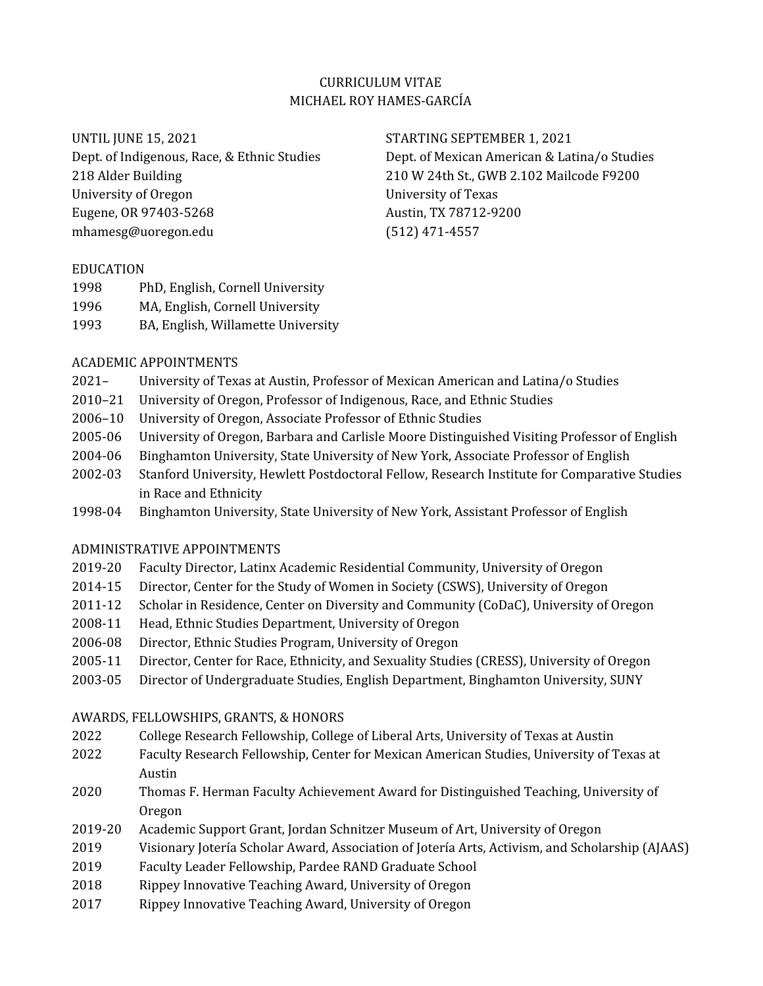## CURRICULUM VITAE MICHAEL ROY HAMES-GARCÍA

University of Oregon University of Texas Eugene, OR 97403-5268 Austin, TX 78712-9200 mhamesg@uoregon.edu (512) 471-4557

UNTIL JUNE 15, 2021 STARTING SEPTEMBER 1, 2021 Dept. of Indigenous, Race, & Ethnic Studies Dept. of Mexican American & Latina/o Studies 218 Alder Building 210 W 24th St., GWB 2.102 Mailcode F9200

#### EDUCATION

- 1998 PhD, English, Cornell University
- 1996 MA, English, Cornell University
- 1993 BA, English, Willamette University

### ACADEMIC APPOINTMENTS

- 2021– University of Texas at Austin, Professor of Mexican American and Latina/o Studies
- 2010–21 University of Oregon, Professor of Indigenous, Race, and Ethnic Studies
- 2006–10 University of Oregon, Associate Professor of Ethnic Studies
- 2005-06 University of Oregon, Barbara and Carlisle Moore Distinguished Visiting Professor of English
- 2004-06 Binghamton University, State University of New York, Associate Professor of English
- 2002-03 Stanford University, Hewlett Postdoctoral Fellow, Research Institute for Comparative Studies in Race and Ethnicity
- 1998-04 Binghamton University, State University of New York, Assistant Professor of English

### ADMINISTRATIVE APPOINTMENTS

- 2019-20 Faculty Director, Latinx Academic Residential Community, University of Oregon
- 2014-15 Director, Center for the Study of Women in Society (CSWS), University of Oregon
- 2011-12 Scholar in Residence, Center on Diversity and Community (CoDaC), University of Oregon
- 2008-11 Head, Ethnic Studies Department, University of Oregon
- 2006-08 Director, Ethnic Studies Program, University of Oregon
- 2005-11 Director, Center for Race, Ethnicity, and Sexuality Studies (CRESS), University of Oregon
- 2003-05 Director of Undergraduate Studies, English Department, Binghamton University, SUNY

### AWARDS, FELLOWSHIPS, GRANTS, & HONORS

- 2022 College Research Fellowship, College of Liberal Arts, University of Texas at Austin
- 2022 Faculty Research Fellowship, Center for Mexican American Studies, University of Texas at Austin
- 2020 Thomas F. Herman Faculty Achievement Award for Distinguished Teaching, University of Oregon
- 2019-20 Academic Support Grant, Jordan Schnitzer Museum of Art, University of Oregon
- 2019 Visionary Jotería Scholar Award, Association of Jotería Arts, Activism, and Scholarship (AJAAS)
- 2019 Faculty Leader Fellowship, Pardee RAND Graduate School
- 2018 Rippey Innovative Teaching Award, University of Oregon
- 2017 Rippey Innovative Teaching Award, University of Oregon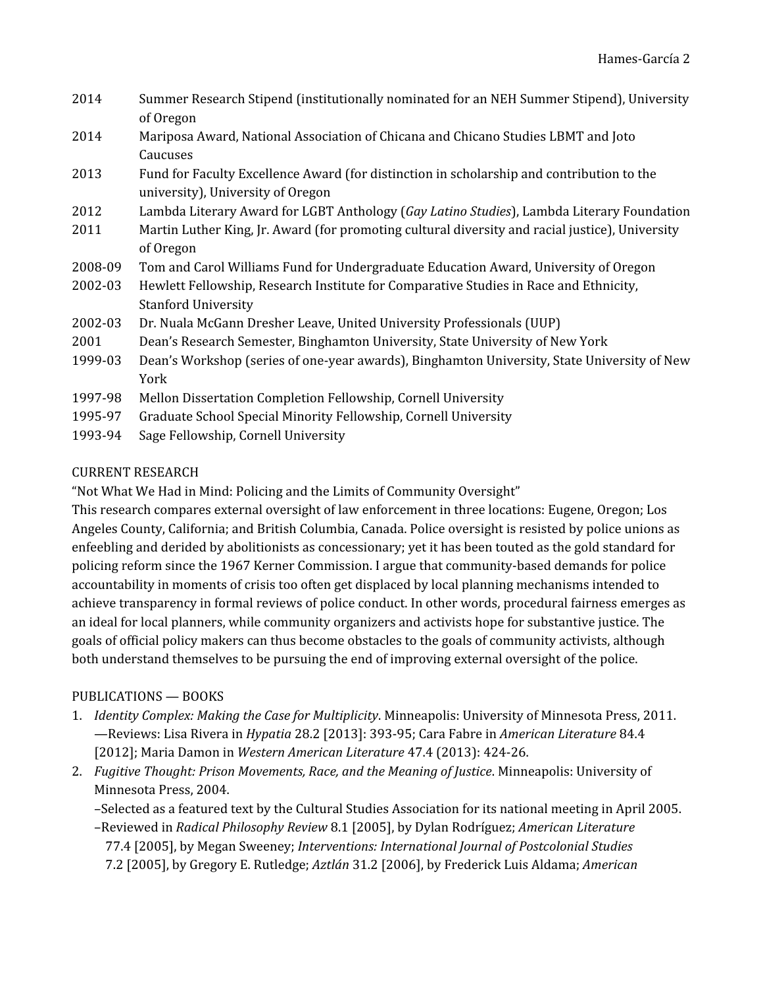| 2014    | Summer Research Stipend (institutionally nominated for an NEH Summer Stipend), University<br>of Oregon                         |
|---------|--------------------------------------------------------------------------------------------------------------------------------|
| 2014    | Mariposa Award, National Association of Chicana and Chicano Studies LBMT and Joto<br>Caucuses                                  |
| 2013    | Fund for Faculty Excellence Award (for distinction in scholarship and contribution to the<br>university), University of Oregon |
| 2012    | Lambda Literary Award for LGBT Anthology (Gay Latino Studies), Lambda Literary Foundation                                      |
| 2011    | Martin Luther King, Jr. Award (for promoting cultural diversity and racial justice), University<br>of Oregon                   |
| 2008-09 | Tom and Carol Williams Fund for Undergraduate Education Award, University of Oregon                                            |
| 2002-03 | Hewlett Fellowship, Research Institute for Comparative Studies in Race and Ethnicity,<br><b>Stanford University</b>            |
| 2002-03 | Dr. Nuala McGann Dresher Leave, United University Professionals (UUP)                                                          |
| 2001    | Dean's Research Semester, Binghamton University, State University of New York                                                  |
| 1999-03 | Dean's Workshop (series of one-year awards), Binghamton University, State University of New<br>York                            |
| 1997-98 | Mellon Dissertation Completion Fellowship, Cornell University                                                                  |
| 1995-97 | Graduate School Special Minority Fellowship, Cornell University                                                                |
| 1993-94 | Sage Fellowship, Cornell University                                                                                            |

## CURRENT RESEARCH

"Not What We Had in Mind: Policing and the Limits of Community Oversight"

This research compares external oversight of law enforcement in three locations: Eugene, Oregon; Los Angeles County, California; and British Columbia, Canada. Police oversight is resisted by police unions as enfeebling and derided by abolitionists as concessionary; yet it has been touted as the gold standard for policing reform since the 1967 Kerner Commission. I argue that community-based demands for police accountability in moments of crisis too often get displaced by local planning mechanisms intended to achieve transparency in formal reviews of police conduct. In other words, procedural fairness emerges as an ideal for local planners, while community organizers and activists hope for substantive justice. The goals of official policy makers can thus become obstacles to the goals of community activists, although both understand themselves to be pursuing the end of improving external oversight of the police.

## PUBLICATIONS — BOOKS

- 1. *Identity Complex: Making the Case for Multiplicity*. Minneapolis: University of Minnesota Press, 2011. —Reviews: Lisa Rivera in *Hypatia* 28.2 [2013]: 393-95; Cara Fabre in *American Literature* 84.4 [2012]; Maria Damon in *Western American Literature* 47.4 (2013): 424-26.
- 2. *Fugitive Thought: Prison Movements, Race, and the Meaning of Justice*. Minneapolis: University of Minnesota Press, 2004.

–Selected as a featured text by the Cultural Studies Association for its national meeting in April 2005.

–Reviewed in *Radical Philosophy Review* 8.1 [2005], by Dylan Rodríguez; *American Literature* 77.4 [2005], by Megan Sweeney; *Interventions: International Journal of Postcolonial Studies* 7.2 [2005], by Gregory E. Rutledge; *Aztlán* 31.2 [2006], by Frederick Luis Aldama; *American*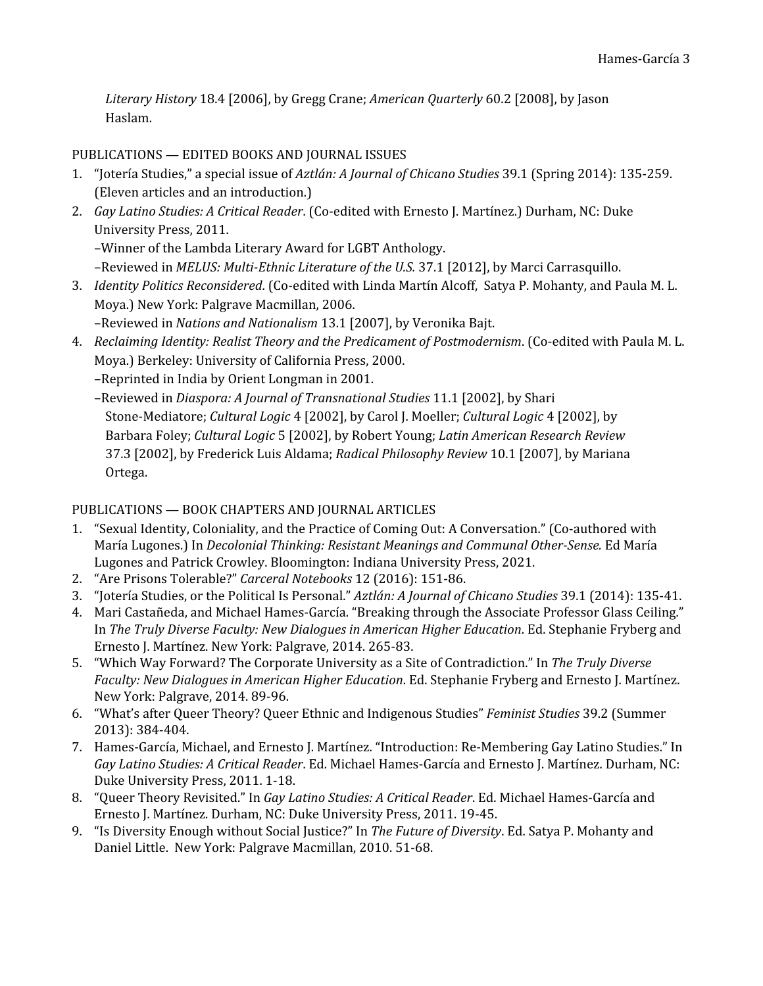*Literary History* 18.4 [2006], by Gregg Crane; *American Quarterly* 60.2 [2008], by Jason Haslam.

PUBLICATIONS — EDITED BOOKS AND JOURNAL ISSUES

- 1. "Jotería Studies," a special issue of *Aztlán: A Journal of Chicano Studies* 39.1 (Spring 2014): 135-259. (Eleven articles and an introduction.)
- 2. *Gay Latino Studies: A Critical Reader*. (Co-edited with Ernesto J. Martínez.) Durham, NC: Duke University Press, 2011.

–Winner of the Lambda Literary Award for LGBT Anthology.

–Reviewed in *MELUS: Multi-Ethnic Literature of the U.S.* 37.1 [2012], by Marci Carrasquillo.

3. *Identity Politics Reconsidered*. (Co-edited with Linda Martín Alcoff, Satya P. Mohanty, and Paula M. L. Moya.) New York: Palgrave Macmillan, 2006.

–Reviewed in *Nations and Nationalism* 13.1 [2007], by Veronika Bajt.

4. *Reclaiming Identity: Realist Theory and the Predicament of Postmodernism*. (Co-edited with Paula M. L. Moya.) Berkeley: University of California Press, 2000.

–Reprinted in India by Orient Longman in 2001.

–Reviewed in *Diaspora: A Journal of Transnational Studies* 11.1 [2002], by Shari Stone-Mediatore; *Cultural Logic* 4 [2002], by Carol J. Moeller; *Cultural Logic* 4 [2002], by Barbara Foley; *Cultural Logic* 5 [2002], by Robert Young; *Latin American Research Review* 37.3 [2002], by Frederick Luis Aldama; *Radical Philosophy Review* 10.1 [2007], by Mariana Ortega.

# PUBLICATIONS — BOOK CHAPTERS AND JOURNAL ARTICLES

- 1. "Sexual Identity, Coloniality, and the Practice of Coming Out: A Conversation." (Co-authored with María Lugones.) In *Decolonial Thinking: Resistant Meanings and Communal Other-Sense.* Ed María Lugones and Patrick Crowley. Bloomington: Indiana University Press, 2021.
- 2. "Are Prisons Tolerable?" *Carceral Notebooks* 12 (2016): 151-86.
- 3. "Jotería Studies, or the Political Is Personal." *Aztlán: A Journal of Chicano Studies* 39.1 (2014): 135-41.
- 4. Mari Castañeda, and Michael Hames-García. "Breaking through the Associate Professor Glass Ceiling." In *The Truly Diverse Faculty: New Dialogues in American Higher Education*. Ed. Stephanie Fryberg and Ernesto J. Martínez. New York: Palgrave, 2014. 265-83.
- 5. "Which Way Forward? The Corporate University as a Site of Contradiction." In *The Truly Diverse Faculty: New Dialogues in American Higher Education*. Ed. Stephanie Fryberg and Ernesto J. Martínez. New York: Palgrave, 2014. 89-96.
- 6. "What's after Queer Theory? Queer Ethnic and Indigenous Studies" *Feminist Studies* 39.2 (Summer 2013): 384-404.
- 7. Hames-García, Michael, and Ernesto J. Martínez. "Introduction: Re-Membering Gay Latino Studies." In *Gay Latino Studies: A Critical Reader*. Ed. Michael Hames-García and Ernesto J. Martínez. Durham, NC: Duke University Press, 2011. 1-18.
- 8. "Queer Theory Revisited." In *Gay Latino Studies: A Critical Reader*. Ed. Michael Hames-García and Ernesto J. Martínez. Durham, NC: Duke University Press, 2011. 19-45.
- 9. "Is Diversity Enough without Social Justice?" In *The Future of Diversity*. Ed. Satya P. Mohanty and Daniel Little. New York: Palgrave Macmillan, 2010. 51-68.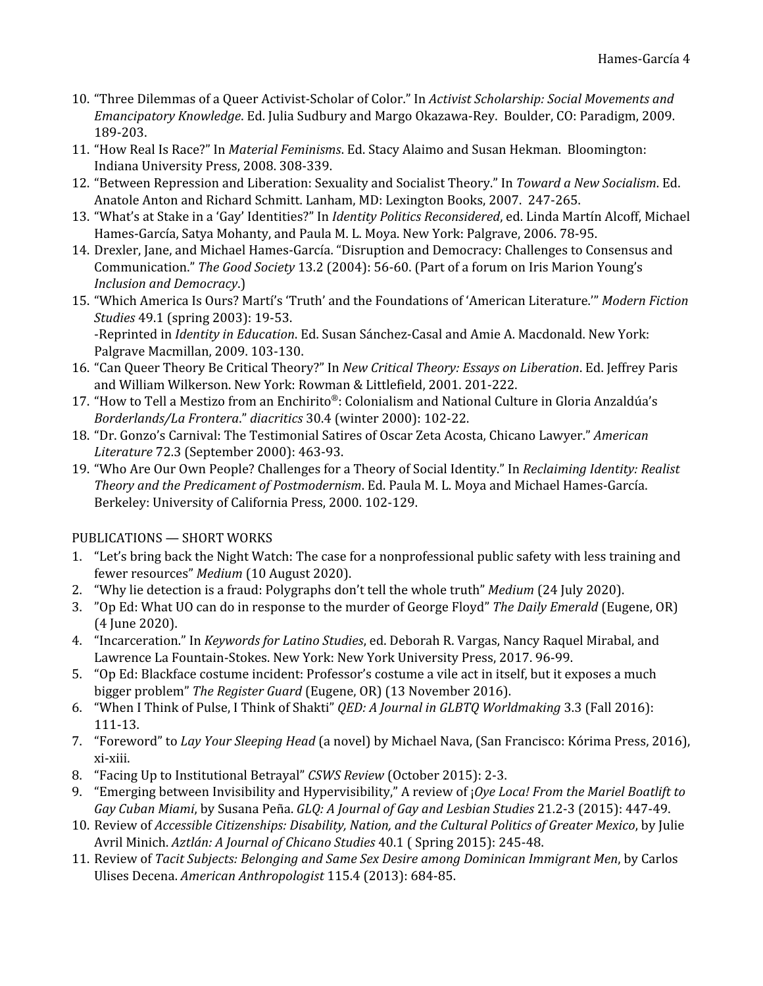- 10. "Three Dilemmas of a Queer Activist-Scholar of Color." In *Activist Scholarship: Social Movements and Emancipatory Knowledge*. Ed. Julia Sudbury and Margo Okazawa-Rey. Boulder, CO: Paradigm, 2009. 189-203.
- 11. "How Real Is Race?" In *Material Feminisms*. Ed. Stacy Alaimo and Susan Hekman. Bloomington: Indiana University Press, 2008. 308-339.
- 12. "Between Repression and Liberation: Sexuality and Socialist Theory." In *Toward a New Socialism*. Ed. Anatole Anton and Richard Schmitt. Lanham, MD: Lexington Books, 2007. 247-265.
- 13. "What's at Stake in a 'Gay' Identities?" In *Identity Politics Reconsidered*, ed. Linda Martín Alcoff, Michael Hames-García, Satya Mohanty, and Paula M. L. Moya. New York: Palgrave, 2006. 78-95.
- 14. Drexler, Jane, and Michael Hames-García. "Disruption and Democracy: Challenges to Consensus and Communication." *The Good Society* 13.2 (2004): 56-60. (Part of a forum on Iris Marion Young's *Inclusion and Democracy*.)
- 15. "Which America Is Ours? Martí's 'Truth' and the Foundations of 'American Literature.'" *Modern Fiction Studies* 49.1 (spring 2003): 19-53. -Reprinted in *Identity in Education*. Ed. Susan Sánchez-Casal and Amie A. Macdonald. New York:

Palgrave Macmillan, 2009. 103-130.

- 16. "Can Queer Theory Be Critical Theory?" In *New Critical Theory: Essays on Liberation*. Ed. Jeffrey Paris and William Wilkerson. New York: Rowman & Littlefield, 2001. 201-222.
- 17. "How to Tell a Mestizo from an Enchirito®: Colonialism and National Culture in Gloria Anzaldúa's *Borderlands/La Frontera*." *diacritics* 30.4 (winter 2000): 102-22.
- 18. "Dr. Gonzo's Carnival: The Testimonial Satires of Oscar Zeta Acosta, Chicano Lawyer." *American Literature* 72.3 (September 2000): 463-93.
- 19. "Who Are Our Own People? Challenges for a Theory of Social Identity." In *Reclaiming Identity: Realist Theory and the Predicament of Postmodernism*. Ed. Paula M. L. Moya and Michael Hames-García. Berkeley: University of California Press, 2000. 102-129.

## PUBLICATIONS — SHORT WORKS

- 1. "Let's bring back the Night Watch: The case for a nonprofessional public safety with less training and fewer resources" *Medium* (10 August 2020).
- 2. "Why lie detection is a fraud: Polygraphs don't tell the whole truth" *Medium* (24 July 2020).
- 3. "Op Ed: What UO can do in response to the murder of George Floyd" *The Daily Emerald* (Eugene, OR) (4 June 2020).
- 4. "Incarceration." In *Keywords for Latino Studies*, ed. Deborah R. Vargas, Nancy Raquel Mirabal, and Lawrence La Fountain-Stokes. New York: New York University Press, 2017. 96-99.
- 5. "Op Ed: Blackface costume incident: Professor's costume a vile act in itself, but it exposes a much bigger problem" *The Register Guard* (Eugene, OR) (13 November 2016).
- 6. "When I Think of Pulse, I Think of Shakti" *QED: A Journal in GLBTQ Worldmaking* 3.3 (Fall 2016): 111-13.
- 7. "Foreword" to *Lay Your Sleeping Head* (a novel) by Michael Nava, (San Francisco: Kórima Press, 2016), xi-xiii.
- 8. "Facing Up to Institutional Betrayal" *CSWS Review* (October 2015): 2-3.
- 9. "Emerging between Invisibility and Hypervisibility," A review of ¡*Oye Loca! From the Mariel Boatlift to Gay Cuban Miami*, by Susana Peña. *GLQ: A Journal of Gay and Lesbian Studies* 21.2-3 (2015): 447-49.
- 10. Review of *Accessible Citizenships: Disability, Nation, and the Cultural Politics of Greater Mexico*, by Julie Avril Minich. *Aztlán: A Journal of Chicano Studies* 40.1 ( Spring 2015): 245-48.
- 11. Review of *Tacit Subjects: Belonging and Same Sex Desire among Dominican Immigrant Men*, by Carlos Ulises Decena. *American Anthropologist* 115.4 (2013): 684-85.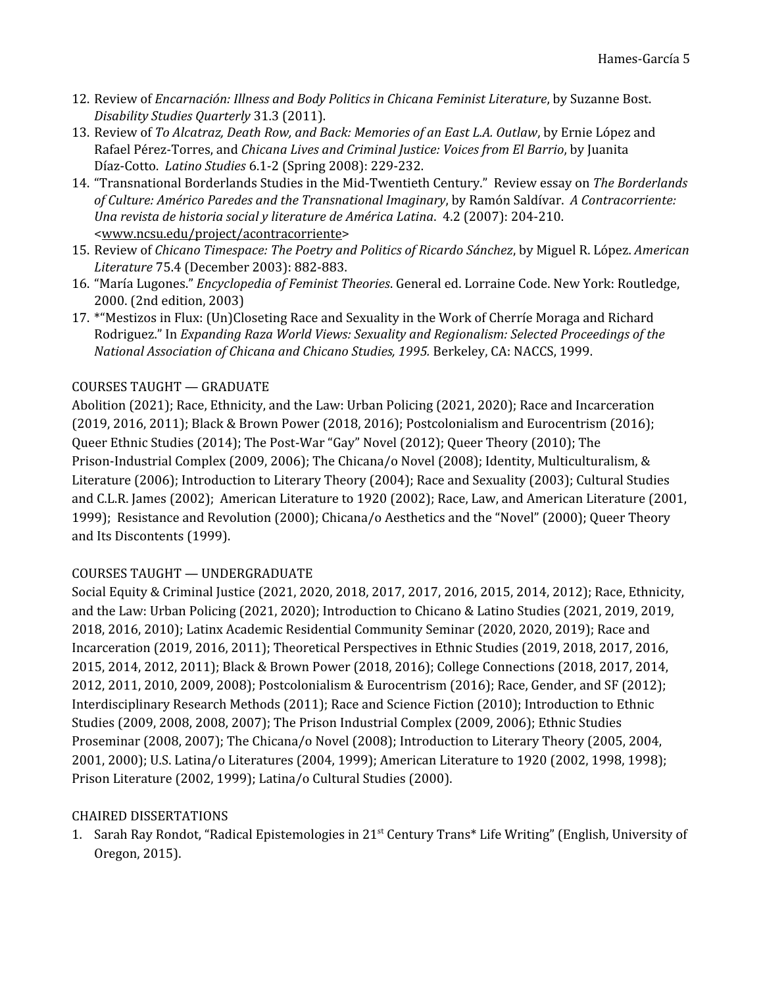- 12. Review of *Encarnación: Illness and Body Politics in Chicana Feminist Literature*, by Suzanne Bost. *Disability Studies Quarterly* 31.3 (2011).
- 13. Review of *To Alcatraz, Death Row, and Back: Memories of an East L.A. Outlaw*, by Ernie López and Rafael Pérez-Torres, and *Chicana Lives and Criminal Justice: Voices from El Barrio*, by Juanita Díaz-Cotto. *Latino Studies* 6.1-2 (Spring 2008): 229-232.
- 14. "Transnational Borderlands Studies in the Mid-Twentieth Century." Review essay on *The Borderlands of Culture: Américo Paredes and the Transnational Imaginary*, by Ramón Saldívar. *A Contracorriente: Una revista de historia social y literature de América Latina*. 4.2 (2007): 204-210. <www.ncsu.edu/project/acontracorriente>
- 15. Review of *Chicano Timespace: The Poetry and Politics of Ricardo Sánchez*, by Miguel R. López. *American Literature* 75.4 (December 2003): 882-883.
- 16. "María Lugones." *Encyclopedia of Feminist Theories*. General ed. Lorraine Code. New York: Routledge, 2000. (2nd edition, 2003)
- 17. \*"Mestizos in Flux: (Un)Closeting Race and Sexuality in the Work of Cherríe Moraga and Richard Rodriguez." In *Expanding Raza World Views: Sexuality and Regionalism: Selected Proceedings of the National Association of Chicana and Chicano Studies, 1995.* Berkeley, CA: NACCS, 1999.

## COURSES TAUGHT — GRADUATE

Abolition (2021); Race, Ethnicity, and the Law: Urban Policing (2021, 2020); Race and Incarceration (2019, 2016, 2011); Black & Brown Power (2018, 2016); Postcolonialism and Eurocentrism (2016); Queer Ethnic Studies (2014); The Post-War "Gay" Novel (2012); Queer Theory (2010); The Prison-Industrial Complex (2009, 2006); The Chicana/o Novel (2008); Identity, Multiculturalism, & Literature (2006); Introduction to Literary Theory (2004); Race and Sexuality (2003); Cultural Studies and C.L.R. James (2002); American Literature to 1920 (2002); Race, Law, and American Literature (2001, 1999); Resistance and Revolution (2000); Chicana/o Aesthetics and the "Novel" (2000); Queer Theory and Its Discontents (1999).

## COURSES TAUGHT — UNDERGRADUATE

Social Equity & Criminal Justice (2021, 2020, 2018, 2017, 2017, 2016, 2015, 2014, 2012); Race, Ethnicity, and the Law: Urban Policing (2021, 2020); Introduction to Chicano & Latino Studies (2021, 2019, 2019, 2018, 2016, 2010); Latinx Academic Residential Community Seminar (2020, 2020, 2019); Race and Incarceration (2019, 2016, 2011); Theoretical Perspectives in Ethnic Studies (2019, 2018, 2017, 2016, 2015, 2014, 2012, 2011); Black & Brown Power (2018, 2016); College Connections (2018, 2017, 2014, 2012, 2011, 2010, 2009, 2008); Postcolonialism & Eurocentrism (2016); Race, Gender, and SF (2012); Interdisciplinary Research Methods (2011); Race and Science Fiction (2010); Introduction to Ethnic Studies (2009, 2008, 2008, 2007); The Prison Industrial Complex (2009, 2006); Ethnic Studies Proseminar (2008, 2007); The Chicana/o Novel (2008); Introduction to Literary Theory (2005, 2004, 2001, 2000); U.S. Latina/o Literatures (2004, 1999); American Literature to 1920 (2002, 1998, 1998); Prison Literature (2002, 1999); Latina/o Cultural Studies (2000).

## CHAIRED DISSERTATIONS

1. Sarah Ray Rondot, "Radical Epistemologies in 21<sup>st</sup> Century Trans\* Life Writing" (English, University of Oregon, 2015).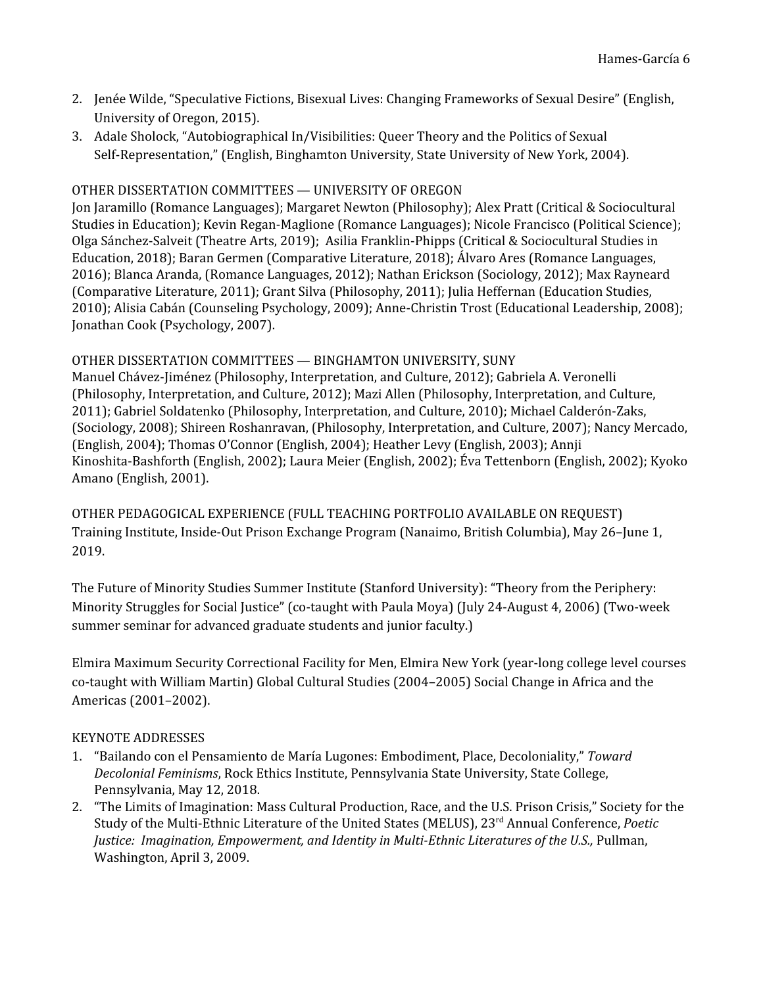- 2. Jenée Wilde, "Speculative Fictions, Bisexual Lives: Changing Frameworks of Sexual Desire" (English, University of Oregon, 2015).
- 3. Adale Sholock, "Autobiographical In/Visibilities: Queer Theory and the Politics of Sexual Self-Representation," (English, Binghamton University, State University of New York, 2004).

### OTHER DISSERTATION COMMITTEES — UNIVERSITY OF OREGON

Jon Jaramillo (Romance Languages); Margaret Newton (Philosophy); Alex Pratt (Critical & Sociocultural Studies in Education); Kevin Regan-Maglione (Romance Languages); Nicole Francisco (Political Science); Olga Sánchez-Salveit (Theatre Arts, 2019); Asilia Franklin-Phipps (Critical & Sociocultural Studies in Education, 2018); Baran Germen (Comparative Literature, 2018); Álvaro Ares (Romance Languages, 2016); Blanca Aranda, (Romance Languages, 2012); Nathan Erickson (Sociology, 2012); Max Rayneard (Comparative Literature, 2011); Grant Silva (Philosophy, 2011); Julia Heffernan (Education Studies, 2010); Alisia Cabán (Counseling Psychology, 2009); Anne-Christin Trost (Educational Leadership, 2008); Jonathan Cook (Psychology, 2007).

#### OTHER DISSERTATION COMMITTEES — BINGHAMTON UNIVERSITY, SUNY

Manuel Chávez-Jiménez (Philosophy, Interpretation, and Culture, 2012); Gabriela A. Veronelli (Philosophy, Interpretation, and Culture, 2012); Mazi Allen (Philosophy, Interpretation, and Culture, 2011); Gabriel Soldatenko (Philosophy, Interpretation, and Culture, 2010); Michael Calderón-Zaks, (Sociology, 2008); Shireen Roshanravan, (Philosophy, Interpretation, and Culture, 2007); Nancy Mercado, (English, 2004); Thomas O'Connor (English, 2004); Heather Levy (English, 2003); Annji Kinoshita-Bashforth (English, 2002); Laura Meier (English, 2002); Éva Tettenborn (English, 2002); Kyoko Amano (English, 2001).

OTHER PEDAGOGICAL EXPERIENCE (FULL TEACHING PORTFOLIO AVAILABLE ON REQUEST) Training Institute, Inside-Out Prison Exchange Program (Nanaimo, British Columbia), May 26–June 1, 2019.

The Future of Minority Studies Summer Institute (Stanford University): "Theory from the Periphery: Minority Struggles for Social Justice" (co-taught with Paula Moya) (July 24-August 4, 2006) (Two-week summer seminar for advanced graduate students and junior faculty.)

Elmira Maximum Security Correctional Facility for Men, Elmira New York (year-long college level courses co-taught with William Martin) Global Cultural Studies (2004–2005) Social Change in Africa and the Americas (2001–2002).

### KEYNOTE ADDRESSES

- 1. "Bailando con el Pensamiento de María Lugones: Embodiment, Place, Decoloniality," *Toward Decolonial Feminisms*, Rock Ethics Institute, Pennsylvania State University, State College, Pennsylvania, May 12, 2018.
- 2. "The Limits of Imagination: Mass Cultural Production, Race, and the U.S. Prison Crisis," Society for the Study of the Multi-Ethnic Literature of the United States (MELUS), 23 rd Annual Conference, *Poetic Justice: Imagination, Empowerment, and Identity in Multi-Ethnic Literatures of the U.S.,* Pullman, Washington, April 3, 2009.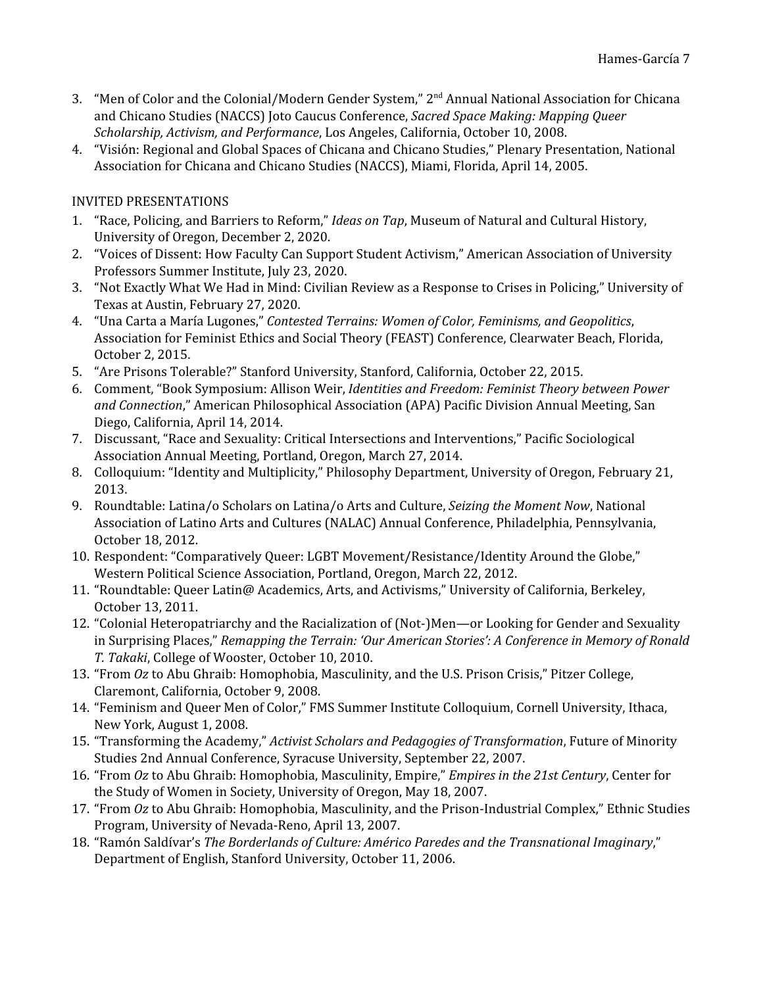- 3. "Men of Color and the Colonial/Modern Gender System," 2<sup>nd</sup> Annual National Association for Chicana and Chicano Studies (NACCS) Joto Caucus Conference, *Sacred Space Making: Mapping Queer Scholarship, Activism, and Performance*, Los Angeles, California, October 10, 2008.
- 4. "Visión: Regional and Global Spaces of Chicana and Chicano Studies," Plenary Presentation, National Association for Chicana and Chicano Studies (NACCS), Miami, Florida, April 14, 2005.

## INVITED PRESENTATIONS

- 1. "Race, Policing, and Barriers to Reform," *Ideas on Tap*, Museum of Natural and Cultural History, University of Oregon, December 2, 2020.
- 2. "Voices of Dissent: How Faculty Can Support Student Activism," American Association of University Professors Summer Institute, July 23, 2020.
- 3. "Not Exactly What We Had in Mind: Civilian Review as a Response to Crises in Policing," University of Texas at Austin, February 27, 2020.
- 4. "Una Carta a María Lugones," *Contested Terrains: Women of Color, Feminisms, and Geopolitics*, Association for Feminist Ethics and Social Theory (FEAST) Conference, Clearwater Beach, Florida, October 2, 2015.
- 5. "Are Prisons Tolerable?" Stanford University, Stanford, California, October 22, 2015.
- 6. Comment, "Book Symposium: Allison Weir, *Identities and Freedom: Feminist Theory between Power and Connection*," American Philosophical Association (APA) Pacific Division Annual Meeting, San Diego, California, April 14, 2014.
- 7. Discussant, "Race and Sexuality: Critical Intersections and Interventions," Pacific Sociological Association Annual Meeting, Portland, Oregon, March 27, 2014.
- 8. Colloquium: "Identity and Multiplicity," Philosophy Department, University of Oregon, February 21, 2013.
- 9. Roundtable: Latina/o Scholars on Latina/o Arts and Culture, *Seizing the Moment Now*, National Association of Latino Arts and Cultures (NALAC) Annual Conference, Philadelphia, Pennsylvania, October 18, 2012.
- 10. Respondent: "Comparatively Queer: LGBT Movement/Resistance/Identity Around the Globe," Western Political Science Association, Portland, Oregon, March 22, 2012.
- 11. "Roundtable: Queer Latin@ Academics, Arts, and Activisms," University of California, Berkeley, October 13, 2011.
- 12. "Colonial Heteropatriarchy and the Racialization of (Not-)Men—or Looking for Gender and Sexuality in Surprising Places," *Remapping the Terrain: 'Our American Stories': A Conference in Memory of Ronald T. Takaki*, College of Wooster, October 10, 2010.
- 13. "From *Oz* to Abu Ghraib: Homophobia, Masculinity, and the U.S. Prison Crisis," Pitzer College, Claremont, California, October 9, 2008.
- 14. "Feminism and Queer Men of Color," FMS Summer Institute Colloquium, Cornell University, Ithaca, New York, August 1, 2008.
- 15. "Transforming the Academy," *Activist Scholars and Pedagogies of Transformation*, Future of Minority Studies 2nd Annual Conference, Syracuse University, September 22, 2007.
- 16. "From *Oz* to Abu Ghraib: Homophobia, Masculinity, Empire," *Empires in the 21st Century*, Center for the Study of Women in Society, University of Oregon, May 18, 2007.
- 17. "From *Oz* to Abu Ghraib: Homophobia, Masculinity, and the Prison-Industrial Complex," Ethnic Studies Program, University of Nevada-Reno, April 13, 2007.
- 18. "Ramón Saldívar's *The Borderlands of Culture: Américo Paredes and the Transnational Imaginary*," Department of English, Stanford University, October 11, 2006.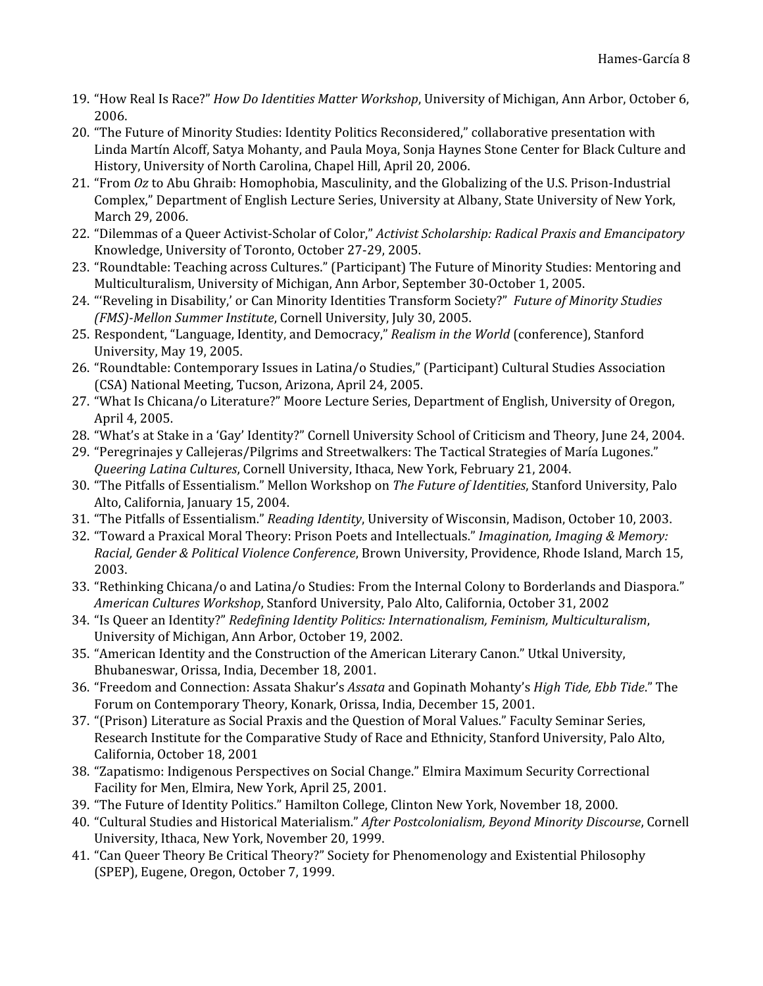- 19. "How Real Is Race?" *How Do Identities Matter Workshop*, University of Michigan, Ann Arbor, October 6, 2006.
- 20. "The Future of Minority Studies: Identity Politics Reconsidered," collaborative presentation with Linda Martín Alcoff, Satya Mohanty, and Paula Moya, Sonja Haynes Stone Center for Black Culture and History, University of North Carolina, Chapel Hill, April 20, 2006.
- 21. "From *Oz* to Abu Ghraib: Homophobia, Masculinity, and the Globalizing of the U.S. Prison-Industrial Complex," Department of English Lecture Series, University at Albany, State University of New York, March 29, 2006.
- 22. "Dilemmas of a Queer Activist-Scholar of Color," *Activist Scholarship: Radical Praxis and Emancipatory* Knowledge, University of Toronto, October 27-29, 2005.
- 23. "Roundtable: Teaching across Cultures." (Participant) The Future of Minority Studies: Mentoring and Multiculturalism, University of Michigan, Ann Arbor, September 30-October 1, 2005.
- 24. "'Reveling in Disability,' or Can Minority Identities Transform Society?" *Future of Minority Studies (FMS)-Mellon Summer Institute*, Cornell University, July 30, 2005.
- 25. Respondent, "Language, Identity, and Democracy," *Realism in the World* (conference), Stanford University, May 19, 2005.
- 26. "Roundtable: Contemporary Issues in Latina/o Studies," (Participant) Cultural Studies Association (CSA) National Meeting, Tucson, Arizona, April 24, 2005.
- 27. "What Is Chicana/o Literature?" Moore Lecture Series, Department of English, University of Oregon, April 4, 2005.
- 28. "What's at Stake in a 'Gay' Identity?" Cornell University School of Criticism and Theory, June 24, 2004.
- 29. "Peregrinajes y Callejeras/Pilgrims and Streetwalkers: The Tactical Strategies of María Lugones." *Queering Latina Cultures*, Cornell University, Ithaca, New York, February 21, 2004.
- 30. "The Pitfalls of Essentialism." Mellon Workshop on *The Future of Identities*, Stanford University, Palo Alto, California, January 15, 2004.
- 31. "The Pitfalls of Essentialism." *Reading Identity*, University of Wisconsin, Madison, October 10, 2003.
- 32. "Toward a Praxical Moral Theory: Prison Poets and Intellectuals." *Imagination, Imaging & Memory: Racial, Gender & Political Violence Conference*, Brown University, Providence, Rhode Island, March 15, 2003.
- 33. "Rethinking Chicana/o and Latina/o Studies: From the Internal Colony to Borderlands and Diaspora." *American Cultures Workshop*, Stanford University, Palo Alto, California, October 31, 2002
- 34. "Is Queer an Identity?" *Redefining Identity Politics: Internationalism, Feminism, Multiculturalism*, University of Michigan, Ann Arbor, October 19, 2002.
- 35. "American Identity and the Construction of the American Literary Canon." Utkal University, Bhubaneswar, Orissa, India, December 18, 2001.
- 36. "Freedom and Connection: Assata Shakur's *Assata* and Gopinath Mohanty's *High Tide, Ebb Tide*." The Forum on Contemporary Theory, Konark, Orissa, India, December 15, 2001.
- 37. "(Prison) Literature as Social Praxis and the Question of Moral Values." Faculty Seminar Series, Research Institute for the Comparative Study of Race and Ethnicity, Stanford University, Palo Alto, California, October 18, 2001
- 38. "Zapatismo: Indigenous Perspectives on Social Change." Elmira Maximum Security Correctional Facility for Men, Elmira, New York, April 25, 2001.
- 39. "The Future of Identity Politics." Hamilton College, Clinton New York, November 18, 2000.
- 40. "Cultural Studies and Historical Materialism." *After Postcolonialism, Beyond Minority Discourse*, Cornell University, Ithaca, New York, November 20, 1999.
- 41. "Can Queer Theory Be Critical Theory?" Society for Phenomenology and Existential Philosophy (SPEP), Eugene, Oregon, October 7, 1999.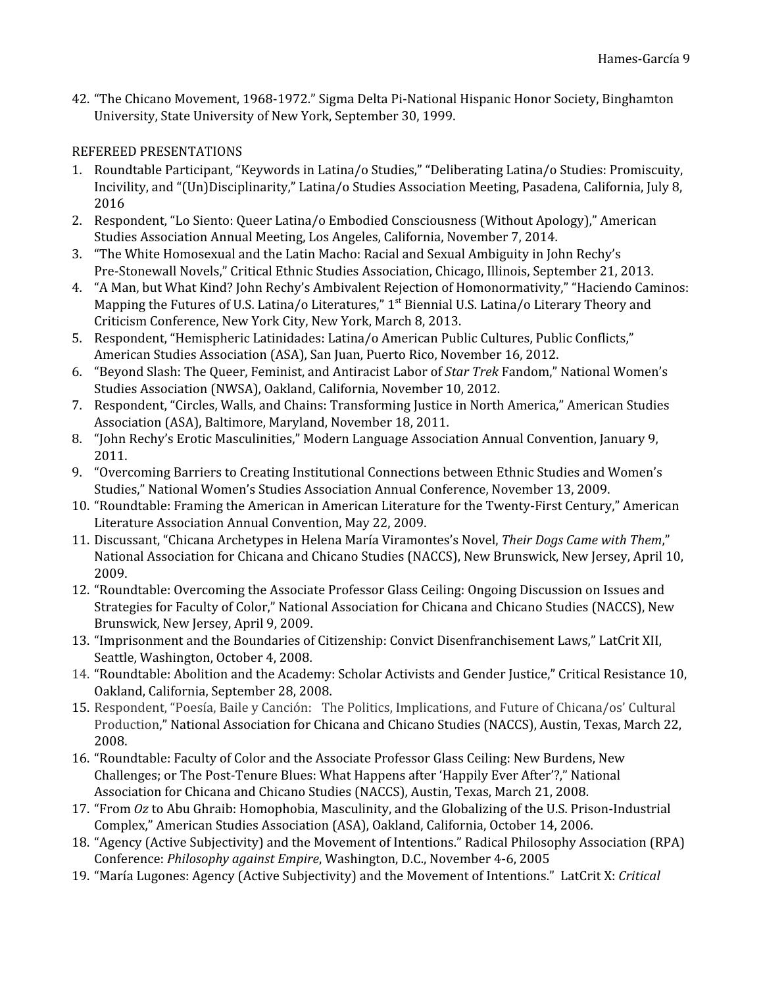42. "The Chicano Movement, 1968-1972." Sigma Delta Pi-National Hispanic Honor Society, Binghamton University, State University of New York, September 30, 1999.

### REFEREED PRESENTATIONS

- 1. Roundtable Participant, "Keywords in Latina/o Studies," "Deliberating Latina/o Studies: Promiscuity, Incivility, and "(Un)Disciplinarity," Latina/o Studies Association Meeting, Pasadena, California, July 8, 2016
- 2. Respondent, "Lo Siento: Queer Latina/o Embodied Consciousness (Without Apology)," American Studies Association Annual Meeting, Los Angeles, California, November 7, 2014.
- 3. "The White Homosexual and the Latin Macho: Racial and Sexual Ambiguity in John Rechy's Pre-Stonewall Novels," Critical Ethnic Studies Association, Chicago, Illinois, September 21, 2013.
- 4. "A Man, but What Kind? John Rechy's Ambivalent Rejection of Homonormativity," "Haciendo Caminos: Mapping the Futures of U.S. Latina/o Literatures," 1<sup>st</sup> Biennial U.S. Latina/o Literary Theory and Criticism Conference, New York City, New York, March 8, 2013.
- 5. Respondent, "Hemispheric Latinidades: Latina/o American Public Cultures, Public Conflicts," American Studies Association (ASA), San Juan, Puerto Rico, November 16, 2012.
- 6. "Beyond Slash: The Queer, Feminist, and Antiracist Labor of *Star Trek* Fandom," National Women's Studies Association (NWSA), Oakland, California, November 10, 2012.
- 7. Respondent, "Circles, Walls, and Chains: Transforming Justice in North America," American Studies Association (ASA), Baltimore, Maryland, November 18, 2011.
- 8. "John Rechy's Erotic Masculinities," Modern Language Association Annual Convention, January 9, 2011.
- 9. "Overcoming Barriers to Creating Institutional Connections between Ethnic Studies and Women's Studies," National Women's Studies Association Annual Conference, November 13, 2009.
- 10. "Roundtable: Framing the American in American Literature for the Twenty-First Century," American Literature Association Annual Convention, May 22, 2009.
- 11. Discussant, "Chicana Archetypes in Helena María Viramontes's Novel, *Their Dogs Came with Them*," National Association for Chicana and Chicano Studies (NACCS), New Brunswick, New Jersey, April 10, 2009.
- 12. "Roundtable: Overcoming the Associate Professor Glass Ceiling: Ongoing Discussion on Issues and Strategies for Faculty of Color," National Association for Chicana and Chicano Studies (NACCS), New Brunswick, New Jersey, April 9, 2009.
- 13. "Imprisonment and the Boundaries of Citizenship: Convict Disenfranchisement Laws," LatCrit XII, Seattle, Washington, October 4, 2008.
- 14. "Roundtable: Abolition and the Academy: Scholar Activists and Gender Justice," Critical Resistance 10, Oakland, California, September 28, 2008.
- 15. Respondent, "Poesía, Baile y Canción: The Politics, Implications, and Future of Chicana/os' Cultural Production," National Association for Chicana and Chicano Studies (NACCS), Austin, Texas, March 22, 2008.
- 16. "Roundtable: Faculty of Color and the Associate Professor Glass Ceiling: New Burdens, New Challenges; or The Post-Tenure Blues: What Happens after 'Happily Ever After'?," National Association for Chicana and Chicano Studies (NACCS), Austin, Texas, March 21, 2008.
- 17. "From *Oz* to Abu Ghraib: Homophobia, Masculinity, and the Globalizing of the U.S. Prison-Industrial Complex," American Studies Association (ASA), Oakland, California, October 14, 2006.
- 18. "Agency (Active Subjectivity) and the Movement of Intentions." Radical Philosophy Association (RPA) Conference: *Philosophy against Empire*, Washington, D.C., November 4-6, 2005
- 19. "María Lugones: Agency (Active Subjectivity) and the Movement of Intentions." LatCrit X: *Critical*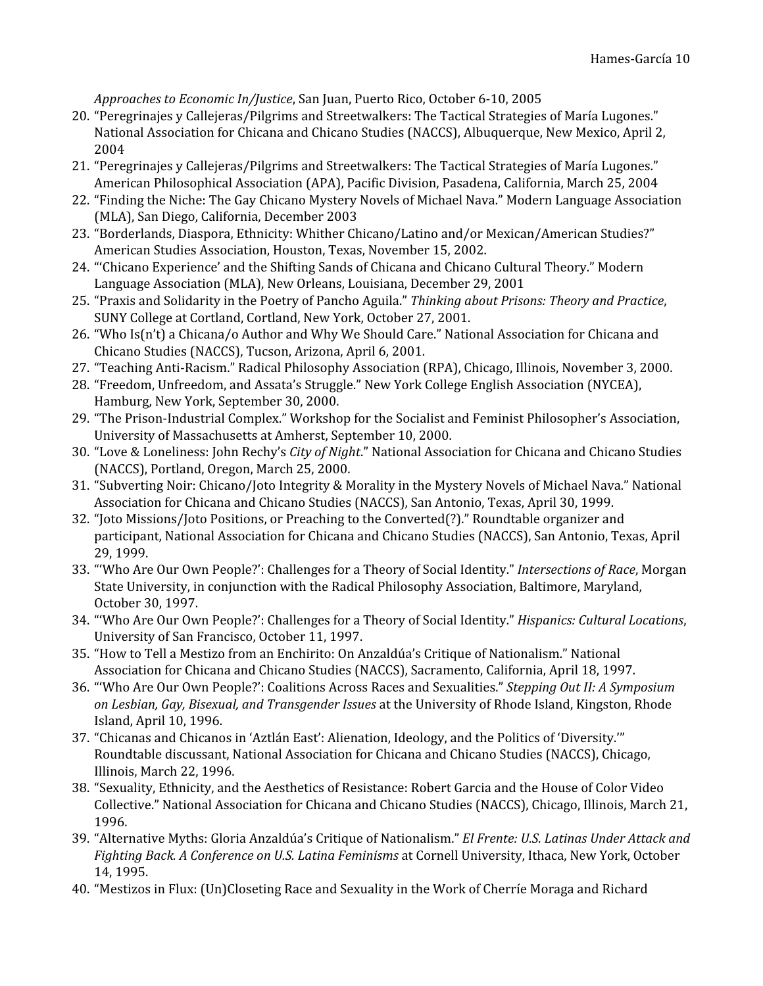*Approaches to Economic In/Justice*, San Juan, Puerto Rico, October 6-10, 2005

- 20. "Peregrinajes y Callejeras/Pilgrims and Streetwalkers: The Tactical Strategies of María Lugones." National Association for Chicana and Chicano Studies (NACCS), Albuquerque, New Mexico, April 2, 2004
- 21. "Peregrinajes y Callejeras/Pilgrims and Streetwalkers: The Tactical Strategies of María Lugones." American Philosophical Association (APA), Pacific Division, Pasadena, California, March 25, 2004
- 22. "Finding the Niche: The Gay Chicano Mystery Novels of Michael Nava." Modern Language Association (MLA), San Diego, California, December 2003
- 23. "Borderlands, Diaspora, Ethnicity: Whither Chicano/Latino and/or Mexican/American Studies?" American Studies Association, Houston, Texas, November 15, 2002.
- 24. "'Chicano Experience' and the Shifting Sands of Chicana and Chicano Cultural Theory." Modern Language Association (MLA), New Orleans, Louisiana, December 29, 2001
- 25. "Praxis and Solidarity in the Poetry of Pancho Aguila." *Thinking about Prisons: Theory and Practice*, SUNY College at Cortland, Cortland, New York, October 27, 2001.
- 26. "Who Is(n't) a Chicana/o Author and Why We Should Care." National Association for Chicana and Chicano Studies (NACCS), Tucson, Arizona, April 6, 2001.
- 27. "Teaching Anti-Racism." Radical Philosophy Association (RPA), Chicago, Illinois, November 3, 2000.
- 28. "Freedom, Unfreedom, and Assata's Struggle." New York College English Association (NYCEA), Hamburg, New York, September 30, 2000.
- 29. "The Prison-Industrial Complex." Workshop for the Socialist and Feminist Philosopher's Association, University of Massachusetts at Amherst, September 10, 2000.
- 30. "Love & Loneliness: John Rechy's *City of Night*." National Association for Chicana and Chicano Studies (NACCS), Portland, Oregon, March 25, 2000.
- 31. "Subverting Noir: Chicano/Joto Integrity & Morality in the Mystery Novels of Michael Nava." National Association for Chicana and Chicano Studies (NACCS), San Antonio, Texas, April 30, 1999.
- 32. "Joto Missions/Joto Positions, or Preaching to the Converted(?)." Roundtable organizer and participant, National Association for Chicana and Chicano Studies (NACCS), San Antonio, Texas, April 29, 1999.
- 33. "'Who Are Our Own People?': Challenges for a Theory of Social Identity." *Intersections of Race*, Morgan State University, in conjunction with the Radical Philosophy Association, Baltimore, Maryland, October 30, 1997.
- 34. "'Who Are Our Own People?': Challenges for a Theory of Social Identity." *Hispanics: Cultural Locations*, University of San Francisco, October 11, 1997.
- 35. "How to Tell a Mestizo from an Enchirito: On Anzaldúa's Critique of Nationalism." National Association for Chicana and Chicano Studies (NACCS), Sacramento, California, April 18, 1997.
- 36. "'Who Are Our Own People?': Coalitions Across Races and Sexualities." *Stepping Out II: A Symposium on Lesbian, Gay, Bisexual, and Transgender Issues* at the University of Rhode Island, Kingston, Rhode Island, April 10, 1996.
- 37. "Chicanas and Chicanos in 'Aztlán East': Alienation, Ideology, and the Politics of 'Diversity.'" Roundtable discussant, National Association for Chicana and Chicano Studies (NACCS), Chicago, Illinois, March 22, 1996.
- 38. "Sexuality, Ethnicity, and the Aesthetics of Resistance: Robert Garcia and the House of Color Video Collective." National Association for Chicana and Chicano Studies (NACCS), Chicago, Illinois, March 21, 1996.
- 39. "Alternative Myths: Gloria Anzaldúa's Critique of Nationalism." *El Frente: U.S. Latinas Under Attack and Fighting Back. A Conference on U.S. Latina Feminisms* at Cornell University, Ithaca, New York, October 14, 1995.
- 40. "Mestizos in Flux: (Un)Closeting Race and Sexuality in the Work of Cherríe Moraga and Richard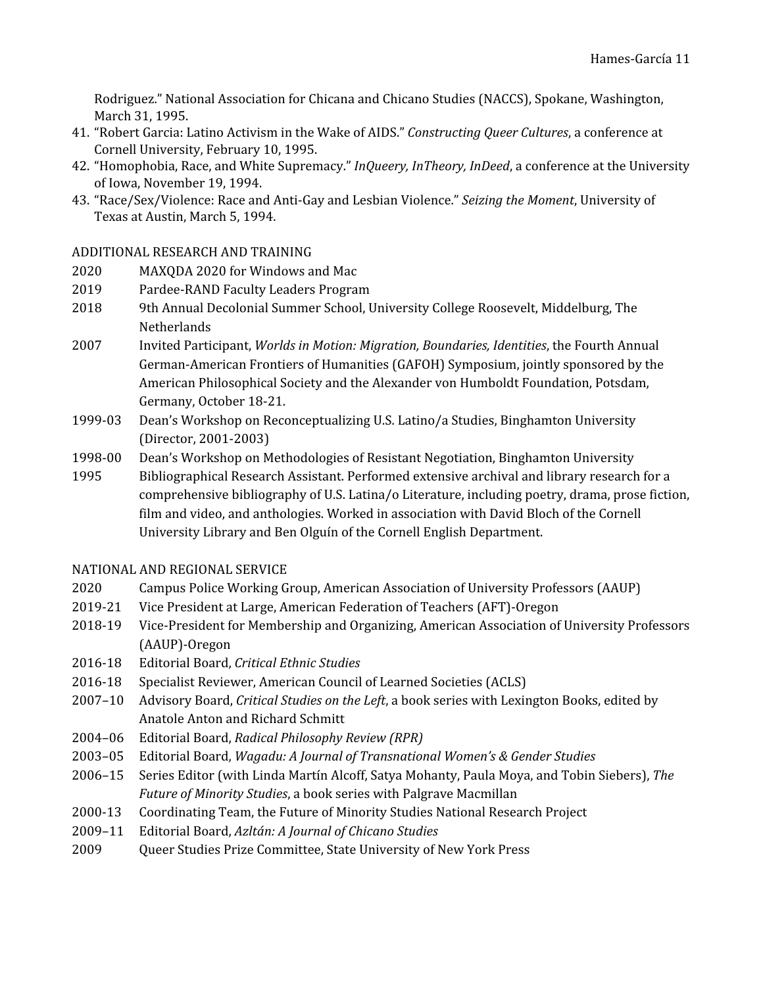Rodriguez." National Association for Chicana and Chicano Studies (NACCS), Spokane, Washington, March 31, 1995.

- 41. "Robert Garcia: Latino Activism in the Wake of AIDS." *Constructing Queer Cultures*, a conference at Cornell University, February 10, 1995.
- 42. "Homophobia, Race, and White Supremacy." *InQueery, InTheory, InDeed*, a conference at the University of Iowa, November 19, 1994.
- 43. "Race/Sex/Violence: Race and Anti-Gay and Lesbian Violence." *Seizing the Moment*, University of Texas at Austin, March 5, 1994.

#### ADDITIONAL RESEARCH AND TRAINING

- 2020 MAXQDA 2020 for Windows and Mac
- 2019 Pardee-RAND Faculty Leaders Program
- 2018 9th Annual Decolonial Summer School, University College Roosevelt, Middelburg, The **Netherlands**
- 2007 Invited Participant, *Worlds in Motion: Migration, Boundaries, Identities*, the Fourth Annual German-American Frontiers of Humanities (GAFOH) Symposium, jointly sponsored by the American Philosophical Society and the Alexander von Humboldt Foundation, Potsdam, Germany, October 18-21.
- 1999-03 Dean's Workshop on Reconceptualizing U.S. Latino/a Studies, Binghamton University (Director, 2001-2003)
- 1998-00 Dean's Workshop on Methodologies of Resistant Negotiation, Binghamton University
- 1995 Bibliographical Research Assistant. Performed extensive archival and library research for a comprehensive bibliography of U.S. Latina/o Literature, including poetry, drama, prose fiction, film and video, and anthologies. Worked in association with David Bloch of the Cornell University Library and Ben Olguín of the Cornell English Department.

#### NATIONAL AND REGIONAL SERVICE

- 2020 Campus Police Working Group, American Association of University Professors (AAUP)
- 2019-21 Vice President at Large, American Federation of Teachers (AFT)-Oregon
- 2018-19 Vice-President for Membership and Organizing, American Association of University Professors (AAUP)-Oregon
- 2016-18 Editorial Board, *Critical Ethnic Studies*
- 2016-18 Specialist Reviewer, American Council of Learned Societies (ACLS)
- 2007–10 Advisory Board, *Critical Studies on the Left*, a book series with Lexington Books, edited by Anatole Anton and Richard Schmitt
- 2004–06 Editorial Board, *Radical Philosophy Review (RPR)*
- 2003–05 Editorial Board, *Wagadu: A Journal of Transnational Women's & Gender Studies*
- 2006–15 Series Editor (with Linda Martín Alcoff, Satya Mohanty, Paula Moya, and Tobin Siebers), *The Future of Minority Studies*, a book series with Palgrave Macmillan
- 2000-13 Coordinating Team, the Future of Minority Studies National Research Project
- 2009–11 Editorial Board, *Azltán: A Journal of Chicano Studies*
- 2009 Queer Studies Prize Committee, State University of New York Press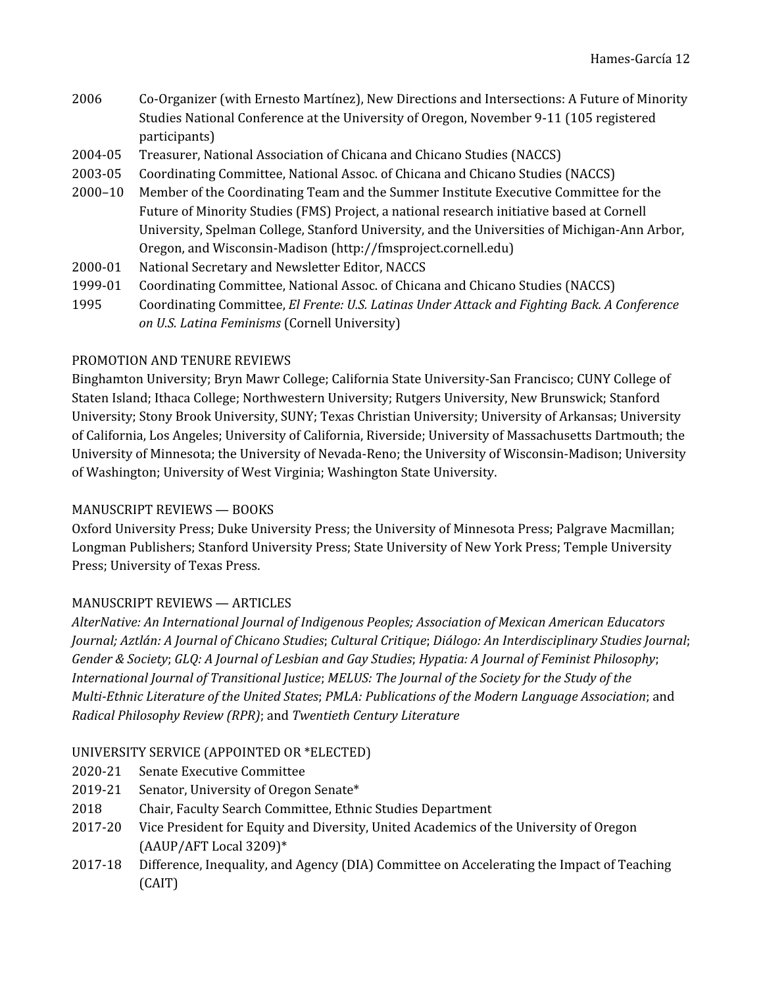- 2006 Co-Organizer (with Ernesto Martínez), New Directions and Intersections: A Future of Minority Studies National Conference at the University of Oregon, November 9-11 (105 registered participants)
- 2004-05 Treasurer, National Association of Chicana and Chicano Studies (NACCS)
- 2003-05 Coordinating Committee, National Assoc. of Chicana and Chicano Studies (NACCS)
- 2000–10 Member of the Coordinating Team and the Summer Institute Executive Committee for the Future of Minority Studies (FMS) Project, a national research initiative based at Cornell University, Spelman College, Stanford University, and the Universities of Michigan-Ann Arbor, Oregon, and Wisconsin-Madison (http://fmsproject.cornell.edu)
- 2000-01 National Secretary and Newsletter Editor, NACCS
- 1999-01 Coordinating Committee, National Assoc. of Chicana and Chicano Studies (NACCS)
- 1995 Coordinating Committee, *El Frente: U.S. Latinas Under Attack and Fighting Back. A Conference on U.S. Latina Feminisms* (Cornell University)

## PROMOTION AND TENURE REVIEWS

Binghamton University; Bryn Mawr College; California State University-San Francisco; CUNY College of Staten Island; Ithaca College; Northwestern University; Rutgers University, New Brunswick; Stanford University; Stony Brook University, SUNY; Texas Christian University; University of Arkansas; University of California, Los Angeles; University of California, Riverside; University of Massachusetts Dartmouth; the University of Minnesota; the University of Nevada-Reno; the University of Wisconsin-Madison; University of Washington; University of West Virginia; Washington State University.

## MANUSCRIPT REVIEWS — BOOKS

Oxford University Press; Duke University Press; the University of Minnesota Press; Palgrave Macmillan; Longman Publishers; Stanford University Press; State University of New York Press; Temple University Press; University of Texas Press.

# MANUSCRIPT REVIEWS — ARTICLES

*AlterNative: An International Journal of Indigenous Peoples; Association of Mexican American Educators Journal; Aztlán: A Journal of Chicano Studies*; *Cultural Critique*; *Diálogo: An Interdisciplinary Studies Journal*; *Gender & Society*; *GLQ: A Journal of Lesbian and Gay Studies*; *Hypatia: A Journal of Feminist Philosophy*; *International Journal of Transitional Justice*; *MELUS: The Journal of the Society for the Study of the Multi-Ethnic Literature of the United States*; *PMLA: Publications of the Modern Language Association*; and *Radical Philosophy Review (RPR)*; and *Twentieth Century Literature*

## UNIVERSITY SERVICE (APPOINTED OR \*ELECTED)

- 2020-21 Senate Executive Committee
- 2019-21 Senator, University of Oregon Senate\*
- 2018 Chair, Faculty Search Committee, Ethnic Studies Department
- 2017-20 Vice President for Equity and Diversity, United Academics of the University of Oregon (AAUP/AFT Local 3209)\*
- 2017-18 Difference, Inequality, and Agency (DIA) Committee on Accelerating the Impact of Teaching (CAIT)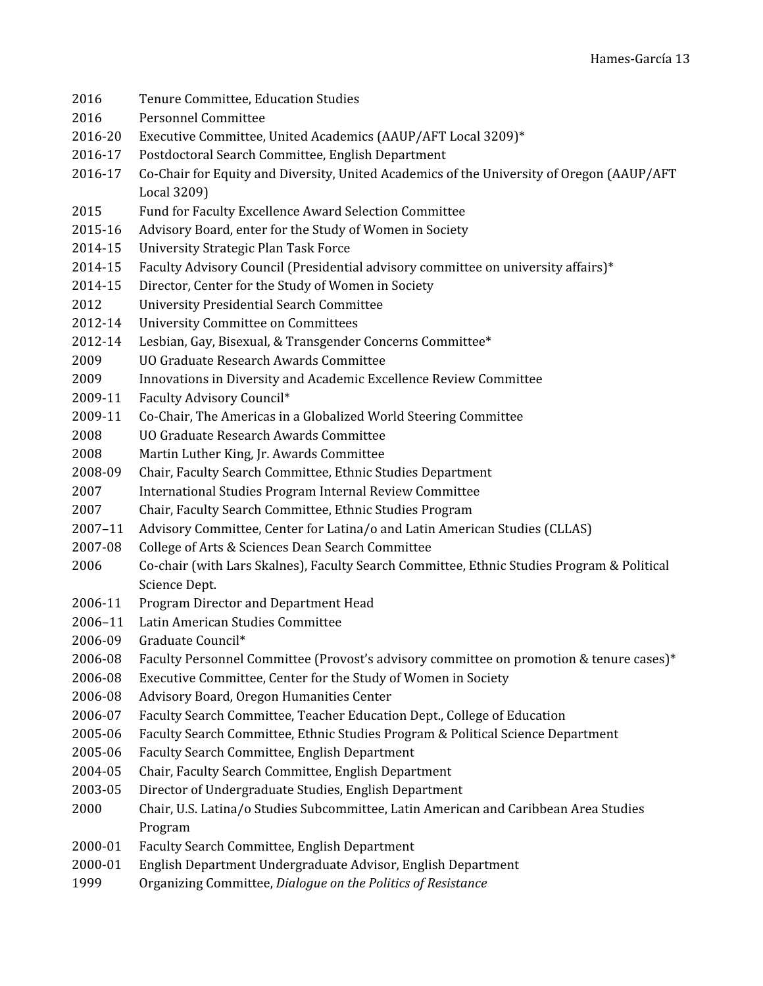2016 Tenure Committee, Education Studies 2016 Personnel Committee 2016-20 Executive Committee, United Academics (AAUP/AFT Local 3209)\* 2016-17 Postdoctoral Search Committee, English Department 2016-17 Co-Chair for Equity and Diversity, United Academics of the University of Oregon (AAUP/AFT Local 3209) 2015 Fund for Faculty Excellence Award Selection Committee 2015-16 Advisory Board, enter for the Study of Women in Society 2014-15 University Strategic Plan Task Force 2014-15 Faculty Advisory Council (Presidential advisory committee on university affairs)\* 2014-15 Director, Center for the Study of Women in Society 2012 University Presidential Search Committee 2012-14 University Committee on Committees 2012-14 Lesbian, Gay, Bisexual, & Transgender Concerns Committee\* 2009 UO Graduate Research Awards Committee 2009 Innovations in Diversity and Academic Excellence Review Committee 2009-11 Faculty Advisory Council\* 2009-11 Co-Chair, The Americas in a Globalized World Steering Committee 2008 UO Graduate Research Awards Committee 2008 Martin Luther King, Jr. Awards Committee 2008-09 Chair, Faculty Search Committee, Ethnic Studies Department 2007 International Studies Program Internal Review Committee 2007 Chair, Faculty Search Committee, Ethnic Studies Program 2007–11 Advisory Committee, Center for Latina/o and Latin American Studies (CLLAS) 2007-08 College of Arts & Sciences Dean Search Committee 2006 Co-chair (with Lars Skalnes), Faculty Search Committee, Ethnic Studies Program & Political Science Dept. 2006-11 Program Director and Department Head 2006–11 Latin American Studies Committee 2006-09 Graduate Council\* 2006-08 Faculty Personnel Committee (Provost's advisory committee on promotion & tenure cases)\* 2006-08 Executive Committee, Center for the Study of Women in Society 2006-08 Advisory Board, Oregon Humanities Center 2006-07 Faculty Search Committee, Teacher Education Dept., College of Education 2005-06 Faculty Search Committee, Ethnic Studies Program & Political Science Department 2005-06 Faculty Search Committee, English Department 2004-05 Chair, Faculty Search Committee, English Department 2003-05 Director of Undergraduate Studies, English Department 2000 Chair, U.S. Latina/o Studies Subcommittee, Latin American and Caribbean Area Studies Program 2000-01 Faculty Search Committee, English Department 2000-01 English Department Undergraduate Advisor, English Department 1999 Organizing Committee, *Dialogue on the Politics of Resistance*